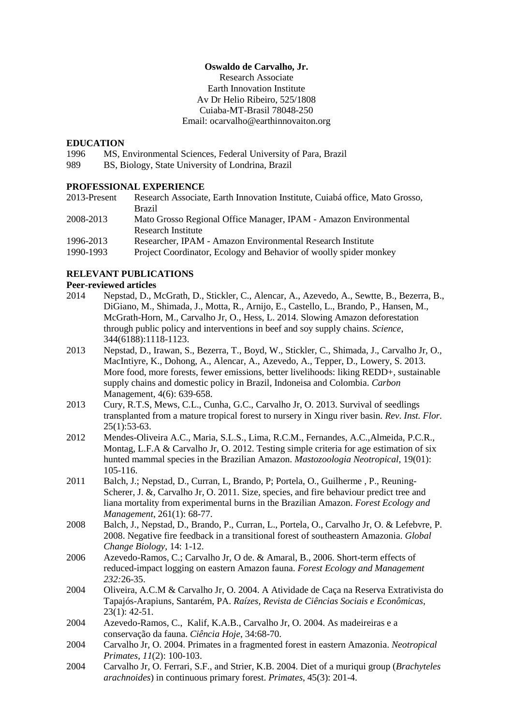## **Oswaldo de Carvalho, Jr.**

Research Associate Earth Innovation Institute Av Dr Helio Ribeiro, 525/1808 Cuiaba-MT-Brasil 78048-250 Email: ocarvalho@earthinnovaiton.org

## **EDUCATION**

- 1996 MS, Environmental Sciences, Federal University of Para, Brazil
- 989 BS, Biology, State University of Londrina, Brazil

## **PROFESSIONAL EXPERIENCE**

| 2013-Present | Research Associate, Earth Innovation Institute, Cuiabá office, Mato Grosso, |
|--------------|-----------------------------------------------------------------------------|
|              | <b>Brazil</b>                                                               |
| 2008-2013    | Mato Grosso Regional Office Manager, IPAM - Amazon Environmental            |
|              | Research Institute                                                          |

1996-2013 Researcher, IPAM - Amazon Environmental Research Institute

1990-1993 Project Coordinator, Ecology and Behavior of woolly spider monkey

## **RELEVANT PUBLICATIONS**

#### **Peer-reviewed articles**

- 2014 Nepstad, D., McGrath, D., Stickler, C., Alencar, A., Azevedo, A., Sewtte, B., Bezerra, B., DiGiano, M., Shimada, J., Motta, R., Arnijo, E., Castello, L., Brando, P., Hansen, M., McGrath-Horn, M., Carvalho Jr, O., Hess, L. 2014. Slowing Amazon deforestation through public policy and interventions in beef and soy supply chains. *Science*, 344(6188):1118-1123.
- 2013 Nepstad, D., Irawan, S., Bezerra, T., Boyd, W., Stickler, C., Shimada, J., Carvalho Jr, O., MacIntiyre, K., Dohong, A., Alencar, A., Azevedo, A., Tepper, D., Lowery, S. 2013. More food, more forests, fewer emissions, better livelihoods: liking REDD+, sustainable supply chains and domestic policy in Brazil, Indoneisa and Colombia. *Carbon*  Management, 4(6): 639-658.
- 2013 Cury, R.T.S, Mews, C.L., Cunha, G.C., Carvalho Jr, O. 2013. Survival of seedlings transplanted from a mature tropical forest to nursery in Xingu river basin. *Rev. Inst. Flor.*  25(1):53-63.
- 2012 Mendes-Oliveira A.C., Maria, S.L.S., Lima, R.C.M., Fernandes, A.C.,Almeida, P.C.R., Montag, L.F.A & Carvalho Jr, O. 2012. Testing simple criteria for age estimation of six hunted mammal species in the Brazilian Amazon. *Mastozoologia Neotropical*, 19(01): 105-116.
- 2011 Balch, J.; Nepstad, D., Curran, L, Brando, P; Portela, O., Guilherme , P., Reuning-Scherer, J. &, Carvalho Jr, O. 2011. Size, species, and fire behaviour predict tree and liana mortality from experimental burns in the Brazilian Amazon. *Forest Ecology and Management*, 261(1): 68-77.
- 2008 Balch, J., Nepstad, D., Brando, P., Curran, L., Portela, O., Carvalho Jr, O. & Lefebvre, P. 2008. Negative fire feedback in a transitional forest of southeastern Amazonia. *Global Change Biology*, 14: 1-12.
- 2006 Azevedo-Ramos, C.; Carvalho Jr, O de. & Amaral, B., 2006. Short-term effects of reduced-impact logging on eastern Amazon fauna. *Forest Ecology and Management 232:*26-35.
- 2004 Oliveira, A.C.M & Carvalho Jr, O. 2004. A Atividade de Caça na Reserva Extrativista do Tapajós-Arapiuns, Santarém, PA. *Raízes, Revista de Ciências Sociais e Econômicas*, 23(1): 42-51.
- 2004 Azevedo-Ramos, C., Kalif, K.A.B., Carvalho Jr, O. 2004. As madeireiras e a conservação da fauna. *Ciência Hoje*, 34:68-70.
- 2004 Carvalho Jr, O. 2004. Primates in a fragmented forest in eastern Amazonia. *Neotropical Primates*, *11*(2): 100-103.
- 2004 Carvalho Jr, O. Ferrari, S.F., and Strier, K.B. 2004. Diet of a muriqui group (*Brachyteles arachnoides*) in continuous primary forest. *Primates*, 45(3): 201-4.